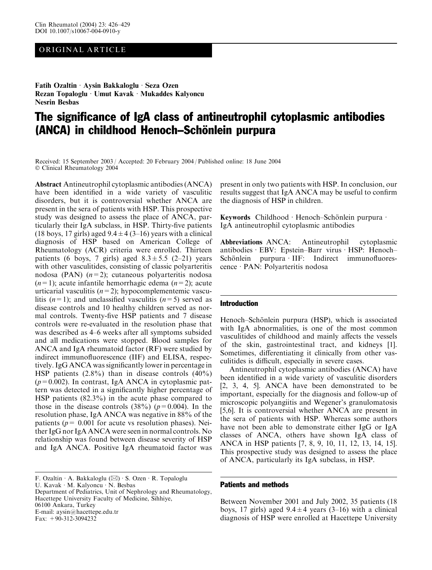## ORIGINAL ARTICLE

Fatih Ozaltin Aysin Bakkaloglu · Seza Ozen Rezan Topaloglu · Umut Kavak · Mukaddes Kalyoncu Nesrin Besbas

# The significance of IgA class of antineutrophil cytoplasmic antibodies (ANCA) in childhood Henoch–Schönlein purpura

Received: 15 September 2003 / Accepted: 20 February 2004 / Published online: 18 June 2004 Clinical Rheumatology 2004

Abstract Antineutrophil cytoplasmic antibodies (ANCA) have been identified in a wide variety of vasculitic disorders, but it is controversial whether ANCA are present in the sera of patients with HSP. This prospective study was designed to assess the place of ANCA, particularly their IgA subclass, in HSP. Thirty-five patients (18 boys, 17 girls) aged  $9.4 \pm 4$  (3–16) years with a clinical diagnosis of HSP based on American College of Rheumatology (ACR) criteria were enrolled. Thirteen patients (6 boys, 7 girls) aged  $8.3 \pm 5.5$  (2–21) years with other vasculitides, consisting of classic polyarteritis nodosa (PAN)  $(n=2)$ ; cutaneous polyarteritis nodosa  $(n=1)$ ; acute infantile hemorrhagic edema  $(n=2)$ ; acute urticarial vasculitis  $(n=2)$ ; hypocomplementemic vasculitis  $(n=1)$ ; and unclassified vasculitis  $(n=5)$  served as disease controls and 10 healthy children served as normal controls. Twenty-five HSP patients and 7 disease controls were re-evaluated in the resolution phase that was described as 4–6 weeks after all symptoms subsided and all medications were stopped. Blood samples for ANCA and IgA rheumatoid factor (RF) were studied by indirect immunofluorescence (IIF) and ELISA, respectively. IgG ANCA was significantly lower in percentage in HSP patients  $(2.8\%)$  than in disease controls  $(40\%)$  $(p=0.002)$ . In contrast, IgA ANCA in cytoplasmic pattern was detected in a significantly higher percentage of HSP patients (82.3%) in the acute phase compared to those in the disease controls  $(38\%)$  ( $p=0.004$ ). In the resolution phase, IgA ANCA was negative in 88% of the patients ( $p = 0.001$  for acute vs resolution phases). Neither IgG nor IgA ANCA were seen in normal controls. No relationship was found between disease severity of HSP and IgA ANCA. Positive IgA rheumatoid factor was

F. Ozaltin  $\cdot$  A. Bakkaloglu ( $\boxtimes$ )  $\cdot$  S. Ozen  $\cdot$  R. Topaloglu

U. Kavak  $\cdot$  M. Kalyoncu  $\cdot$  N. Besbas

Department of Pediatrics, Unit of Nephrology and Rheumatology, Hacettepe University Faculty of Medicine, Sihhiye, 06100 Ankara, Turkey E-mail: aysin@hacettepe.edu.tr

Fax:  $+90-312-3094232$ 

present in only two patients with HSP. In conclusion, our results suggest that IgA ANCA may be useful to confirm the diagnosis of HSP in children.

Keywords Childhood · Henoch–Schönlein purpura · IgA antineutrophil cytoplasmic antibodies

Abbreviations ANCA: Antineutrophil cytoplasmic antibodies · EBV: Epstein–Barr virus · HSP: Henoch–  $Schönlein$  purpura IIF: Indirect immunofluorescence · PAN: Polyarteritis nodosa

#### Introduction

Henoch–Schönlein purpura (HSP), which is associated with IgA abnormalities, is one of the most common vasculitides of childhood and mainly affects the vessels of the skin, gastrointestinal tract, and kidneys [1]. Sometimes, differentiating it clinically from other vasculitides is difficult, especially in severe cases.

Antineutrophil cytoplasmic antibodies (ANCA) have been identified in a wide variety of vasculitic disorders [2, 3, 4, 5]. ANCA have been demonstrated to be important, especially for the diagnosis and follow-up of microscopic polyangiitis and Wegener's granulomatosis [5,6]. It is controversial whether ANCA are present in the sera of patients with HSP. Whereas some authors have not been able to demonstrate either IgG or IgA classes of ANCA, others have shown IgA class of ANCA in HSP patients [7, 8, 9, 10, 11, 12, 13, 14, 15]. This prospective study was designed to assess the place of ANCA, particularly its IgA subclass, in HSP.

#### Patients and methods

Between November 2001 and July 2002, 35 patients (18 boys, 17 girls) aged  $9.4 \pm 4$  years (3–16) with a clinical diagnosis of HSP were enrolled at Hacettepe University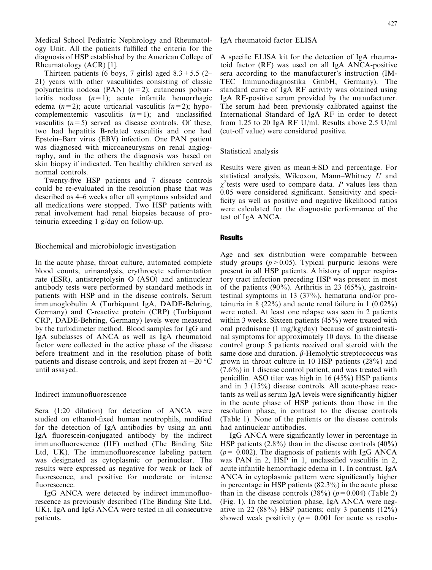Medical School Pediatric Nephrology and Rheumatology Unit. All the patients fulfilled the criteria for the diagnosis of HSP established by the American College of Rheumatology (ACR) [1].

Thirteen patients (6 boys, 7 girls) aged  $8.3 \pm 5.5$  (2– 21) years with other vasculitides consisting of classic polyarteritis nodosa (PAN)  $(n=2)$ ; cutaneous polyarteritis nodosa  $(n=1)$ ; acute infantile hemorrhagic edema  $(n=2)$ ; acute urticarial vasculitis  $(n=2)$ ; hypocomplementemic vasculitis  $(n=1)$ ; and unclassified vasculitis  $(n=5)$  served as disease controls. Of these, two had hepatitis B-related vasculitis and one had Epstein–Barr virus (EBV) infection. One PAN patient was diagnosed with microaneurysms on renal angiography, and in the others the diagnosis was based on skin biopsy if indicated. Ten healthy children served as normal controls.

Twenty-five HSP patients and 7 disease controls could be re-evaluated in the resolution phase that was described as 4–6 weeks after all symptoms subsided and all medications were stopped. Two HSP patients with renal involvement had renal biopsies because of proteinuria exceeding 1 g/day on follow-up.

Biochemical and microbiologic investigation

In the acute phase, throat culture, automated complete blood counts, urinanalysis, erythrocyte sedimentation rate (ESR), antistreptolysin O (ASO) and antinuclear antibody tests were performed by standard methods in patients with HSP and in the disease controls. Serum immunoglobulin A (Turbiquant IgA, DADE-Behring, Germany) and C-reactive protein (CRP) (Turbiquant CRP, DADE-Behring, Germany) levels were measured by the turbidimeter method. Blood samples for IgG and IgA subclasses of ANCA as well as IgA rheumatoid factor were collected in the active phase of the disease before treatment and in the resolution phase of both patients and disease controls, and kept frozen at  $-20\text{ }^{\circ}\mathrm{C}$ until assayed.

Indirect immunofluorescence

Sera (1:20 dilution) for detection of ANCA were studied on ethanol-fixed human neutrophils, modified for the detection of IgA antibodies by using an anti IgA fluorescein-conjugated antibody by the indirect immunofluorescence (IIF) method (The Binding Site Ltd, UK). The immunofluorescence labeling pattern was designated as cytoplasmic or perinuclear. The results were expressed as negative for weak or lack of fluorescence, and positive for moderate or intense fluorescence.

IgG ANCA were detected by indirect immunofluorescence as previously described (The Binding Site Ltd, UK). IgA and IgG ANCA were tested in all consecutive patients.

IgA rheumatoid factor ELISA

A specific ELISA kit for the detection of IgA rheumatoid factor (RF) was used on all IgA ANCA-positive sera according to the manufacturer's instruction (IM-TEC Immunodiagnostika GmbH, Germany). The standard curve of IgA RF activity was obtained using IgA RF-positive serum provided by the manufacturer. The serum had been previously calibrated against the International Standard of IgA RF in order to detect from 1.25 to 20 IgA RF U/ml. Results above 2.5 U/ml (cut-off value) were considered positive.

Statistical analysis

Results were given as mean $\pm$ SD and percentage. For statistical analysis, Wilcoxon, Mann–Whitney U and  $\chi^2$ tests were used to compare data. P values less than 0.05 were considered significant. Sensitivity and specificity as well as positive and negative likelihood ratios were calculated for the diagnostic performance of the test of IgA ANCA.

### **Results**

Age and sex distribution were comparable between study groups ( $p > 0.05$ ). Typical purpuric lesions were present in all HSP patients. A history of upper respiratory tract infection preceding HSP was present in most of the patients  $(90\%)$ . Arthritis in 23  $(65\%)$ , gastrointestinal symptoms in 13 (37%), hematuria and/or proteinuria in 8 (22%) and acute renal failure in 1 (0.02%) were noted. At least one relapse was seen in 2 patients within 3 weeks. Sixteen patients (45%) were treated with oral prednisone (1 mg/kg/day) because of gastrointestinal symptoms for approximately 10 days. In the disease control group 5 patients received oral steroid with the same dose and duration.  $\beta$ -Hemolytic streptococcus was grown in throat culture in 10 HSP patients (28%) and (7.6%) in 1 disease control patient, and was treated with penicillin. ASO titer was high in 16 (45%) HSP patients and in 3 (15%) disease controls. All acute-phase reactants as well as serum IgA levels were significantly higher in the acute phase of HSP patients than those in the resolution phase, in contrast to the disease controls (Table 1). None of the patients or the disease controls had antinuclear antibodies.

IgG ANCA were significantly lower in percentage in HSP patients  $(2.8\%)$  than in the disease controls  $(40\%)$  $(p= 0.002)$ . The diagnosis of patients with IgG ANCA was PAN in 2, HSP in 1, unclassified vasculitis in 2, acute infantile hemorrhagic edema in 1. In contrast, IgA ANCA in cytoplasmic pattern were significantly higher in percentage in HSP patients (82.3%) in the acute phase than in the disease controls  $(38\%)$  ( $p=0.004$ ) (Table 2) (Fig. 1). In the resolution phase, IgA ANCA were negative in 22 (88%) HSP patients; only 3 patients (12%) showed weak positivity ( $p= 0.001$  for acute vs resolu-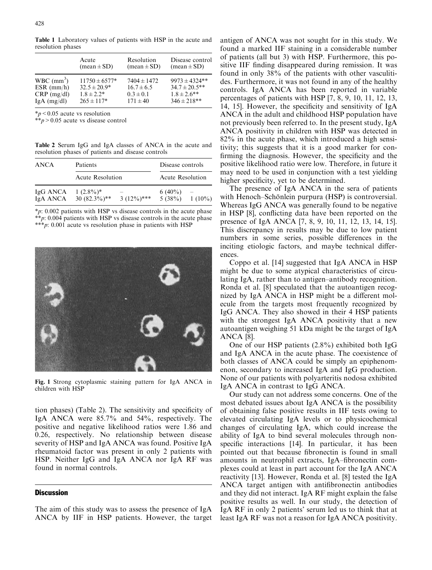Table 1 Laboratory values of patients with HSP in the acute and resolution phases

|                          | Acute                         | Resolution                    | Disease control    |
|--------------------------|-------------------------------|-------------------------------|--------------------|
|                          | $(\text{mean} \pm \text{SD})$ | $(\text{mean} \pm \text{SD})$ | $(mean \pm SD)$    |
| $WBC$ (mm <sup>3</sup> ) | $11750 \pm 6577*$             | $7404 \pm 1472$               | $9973 \pm 4324$ ** |
| $ESR$ (mm/h)             | $32.5 \pm 20.9^*$             | $16.7 \pm 6.5$                | $34.7 \pm 20.5$ ** |
| $CRP$ (mg/dl)            | $1.8 + 2.2*$                  | $0.3 \pm 0.1$                 | $1.8 \pm 2.6$ **   |
| $IgA$ (mg/dl)            | $265 \pm 117*$                | $171 \pm 40$                  | $346 \pm 218**$    |

 $\frac{*}{p}$  < 0.05 acute vs resolution

\*\*p > 0.05 acute vs disease control

Table 2 Serum IgG and IgA classes of ANCA in the acute and resolution phases of patients and disease controls

| ANCA     | Patients<br>Acute Resolution |  | Disease controls<br>Acute Resolution |           |
|----------|------------------------------|--|--------------------------------------|-----------|
|          |                              |  |                                      |           |
| IgA ANCA | $30(82.3\%)$ **              |  | 5(38%)                               | $1(10\%)$ |

 $*p: 0.002$  patients with HSP vs disease controls in the acute phase  $*$  $p: 0.004$  patients with HSP vs disease controls in the acute phase \*\*\*p: 0.001 acute vs resolution phase in patients with HSP



Fig. 1 Strong cytoplasmic staining pattern for IgA ANCA in children with HSP

tion phases) (Table 2). The sensitivity and specificity of IgA ANCA were 85.7% and 54%, respectively. The positive and negative likelihood ratios were 1.86 and 0.26, respectively. No relationship between disease severity of HSP and IgA ANCA was found. Positive IgA rheumatoid factor was present in only 2 patients with HSP. Neither IgG and IgA ANCA nor IgA RF was found in normal controls.

#### **Discussion**

The aim of this study was to assess the presence of IgA ANCA by IIF in HSP patients. However, the target antigen of ANCA was not sought for in this study. We found a marked IIF staining in a considerable number of patients (all but 3) with HSP. Furthermore, this positive IIF finding disappeared during remission. It was found in only 38% of the patients with other vasculitides. Furthermore, it was not found in any of the healthy controls. IgA ANCA has been reported in variable percentages of patients with HSP [7, 8, 9, 10, 11, 12, 13, 14, 15]. However, the specificity and sensitivity of IgA ANCA in the adult and childhood HSP population have not previously been referred to. In the present study, IgA ANCA positivity in children with HSP was detected in 82% in the acute phase, which introduced a high sensitivity; this suggests that it is a good marker for confirming the diagnosis. However, the specificity and the positive likelihood ratio were low. Therefore, in future it may need to be used in conjunction with a test yielding higher specificity, yet to be determined.

The presence of IgA ANCA in the sera of patients with Henoch–Schönlein purpura (HSP) is controversial. Whereas IgG ANCA was generally found to be negative in HSP [8], conflicting data have been reported on the presence of IgA ANCA [7, 8, 9, 10, 11, 12, 13, 14, 15]. This discrepancy in results may be due to low patient numbers in some series, possible differences in the inciting etiologic factors, and maybe technical differences.

Coppo et al. [14] suggested that IgA ANCA in HSP might be due to some atypical characteristics of circulating IgA, rather than to antigen–antibody recognition. Ronda et al. [8] speculated that the autoantigen recognized by IgA ANCA in HSP might be a different molecule from the targets most frequently recognized by IgG ANCA. They also showed in their 4 HSP patients with the strongest IgA ANCA positivity that a new autoantigen weighing 51 kDa might be the target of IgA ANCA [8].

One of our HSP patients (2.8%) exhibited both IgG and IgA ANCA in the acute phase. The coexistence of both classes of ANCA could be simply an epiphenomenon, secondary to increased IgA and IgG production. None of our patients with polyarteritis nodosa exhibited IgA ANCA in contrast to IgG ANCA.

Our study can not address some concerns. One of the most debated issues about IgA ANCA is the possibility of obtaining false positive results in IIF tests owing to elevated circulating IgA levels or to physicochemical changes of circulating IgA, which could increase the ability of IgA to bind several molecules through nonspecific interactions [14]. In particular, it has been pointed out that because fibronectin is found in small amounts in neutrophil extracts, IgA–fibronectin complexes could at least in part account for the IgA ANCA reactivity [13]. However, Ronda et al. [8] tested the IgA ANCA target antigen with antifibronectin antibodies and they did not interact. IgA RF might explain the false positive results as well. In our study, the detection of IgA RF in only 2 patients' serum led us to think that at least IgA RF was not a reason for IgA ANCA positivity.